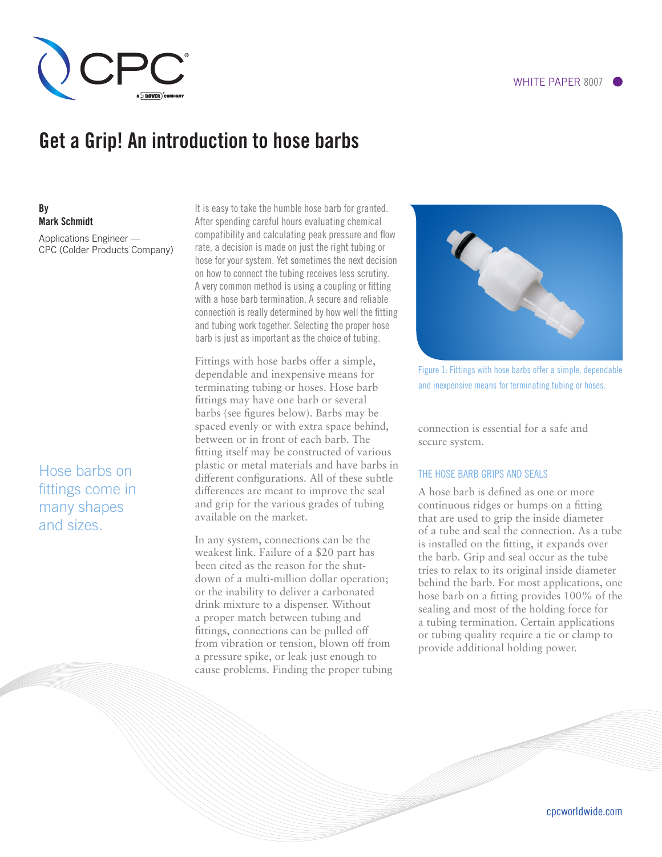

# Get a Grip! An introduction to hose barbs

## By Mark Schmidt

Applications Engineer — CPC (Colder Products Company)

Hose barbs on fittings come in many shapes and sizes.

It is easy to take the humble hose barb for granted. After spending careful hours evaluating chemical compatibility and calculating peak pressure and flow rate, a decision is made on just the right tubing or hose for your system. Yet sometimes the next decision on how to connect the tubing receives less scrutiny. A very common method is using a coupling or fitting with a hose barb termination. A secure and reliable connection is really determined by how well the fitting and tubing work together. Selecting the proper hose barb is just as important as the choice of tubing.

Fittings with hose barbs offer a simple, dependable and inexpensive means for terminating tubing or hoses. Hose barb fittings may have one barb or several barbs (see figures below). Barbs may be spaced evenly or with extra space behind, between or in front of each barb. The fitting itself may be constructed of various plastic or metal materials and have barbs in different configurations. All of these subtle differences are meant to improve the seal and grip for the various grades of tubing available on the market.

In any system, connections can be the weakest link. Failure of a \$20 part has been cited as the reason for the shutdown of a multi-million dollar operation; or the inability to deliver a carbonated drink mixture to a dispenser. Without a proper match between tubing and fittings, connections can be pulled off from vibration or tension, blown off from a pressure spike, or leak just enough to cause problems. Finding the proper tubing



Figure 1: Fittings with hose barbs offer a simple, dependable and inexpensive means for terminating tubing or hoses.

connection is essential for a safe and secure system.

#### THE HOSE BARB GRIPS AND SEALS

A hose barb is defined as one or more continuous ridges or bumps on a fitting that are used to grip the inside diameter of a tube and seal the connection. As a tube is installed on the fitting, it expands over the barb. Grip and seal occur as the tube tries to relax to its original inside diameter behind the barb. For most applications, one hose barb on a fitting provides 100% of the sealing and most of the holding force for a tubing termination. Certain applications or tubing quality require a tie or clamp to provide additional holding power.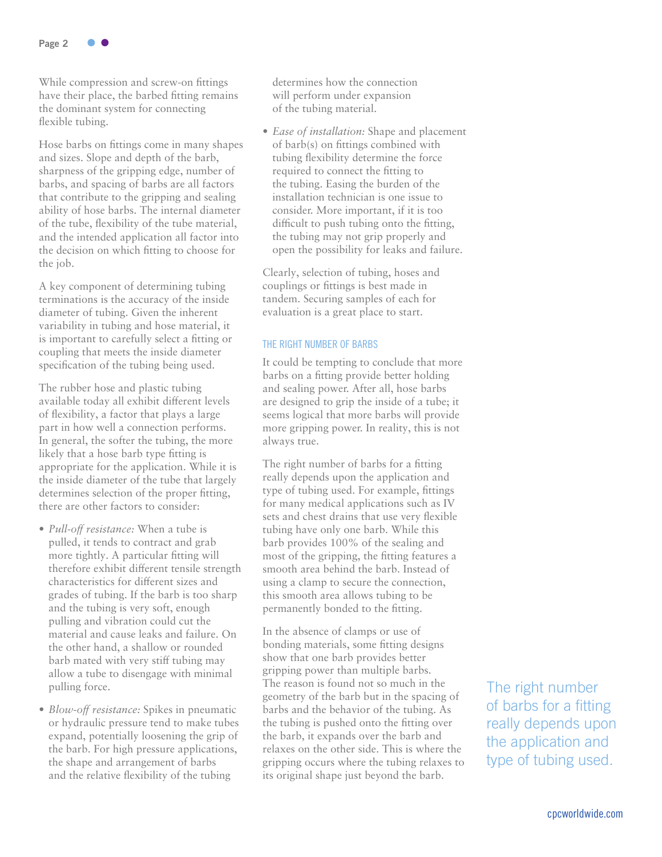

While compression and screw-on fittings have their place, the barbed fitting remains the dominant system for connecting flexible tubing.

Hose barbs on fittings come in many shapes and sizes. Slope and depth of the barb, sharpness of the gripping edge, number of barbs, and spacing of barbs are all factors that contribute to the gripping and sealing ability of hose barbs. The internal diameter of the tube, flexibility of the tube material, and the intended application all factor into the decision on which fitting to choose for the job.

A key component of determining tubing terminations is the accuracy of the inside diameter of tubing. Given the inherent variability in tubing and hose material, it is important to carefully select a fitting or coupling that meets the inside diameter specification of the tubing being used.

The rubber hose and plastic tubing available today all exhibit different levels of flexibility, a factor that plays a large part in how well a connection performs. In general, the softer the tubing, the more likely that a hose barb type fitting is appropriate for the application. While it is the inside diameter of the tube that largely determines selection of the proper fitting, there are other factors to consider:

- *Pull-off resistance:* When a tube is pulled, it tends to contract and grab more tightly. A particular fitting will therefore exhibit different tensile strength characteristics for different sizes and grades of tubing. If the barb is too sharp and the tubing is very soft, enough pulling and vibration could cut the material and cause leaks and failure. On the other hand, a shallow or rounded barb mated with very stiff tubing may allow a tube to disengage with minimal pulling force.
- *Blow-off resistance:* Spikes in pneumatic or hydraulic pressure tend to make tubes expand, potentially loosening the grip of the barb. For high pressure applications, the shape and arrangement of barbs and the relative flexibility of the tubing

determines how the connection will perform under expansion of the tubing material.

• *Ease of installation:* Shape and placement of barb(s) on fittings combined with tubing flexibility determine the force required to connect the fitting to the tubing. Easing the burden of the installation technician is one issue to consider. More important, if it is too difficult to push tubing onto the fitting, the tubing may not grip properly and open the possibility for leaks and failure.

Clearly, selection of tubing, hoses and couplings or fittings is best made in tandem. Securing samples of each for evaluation is a great place to start.

#### THE RIGHT NUMBER OF BARBS

It could be tempting to conclude that more barbs on a fitting provide better holding and sealing power. After all, hose barbs are designed to grip the inside of a tube; it seems logical that more barbs will provide more gripping power. In reality, this is not always true.

The right number of barbs for a fitting really depends upon the application and type of tubing used. For example, fittings for many medical applications such as IV sets and chest drains that use very flexible tubing have only one barb. While this barb provides 100% of the sealing and most of the gripping, the fitting features a smooth area behind the barb. Instead of using a clamp to secure the connection, this smooth area allows tubing to be permanently bonded to the fitting.

In the absence of clamps or use of bonding materials, some fitting designs show that one barb provides better gripping power than multiple barbs. The reason is found not so much in the geometry of the barb but in the spacing of barbs and the behavior of the tubing. As the tubing is pushed onto the fitting over the barb, it expands over the barb and relaxes on the other side. This is where the gripping occurs where the tubing relaxes to its original shape just beyond the barb.

The right number of barbs for a fitting really depends upon the application and type of tubing used.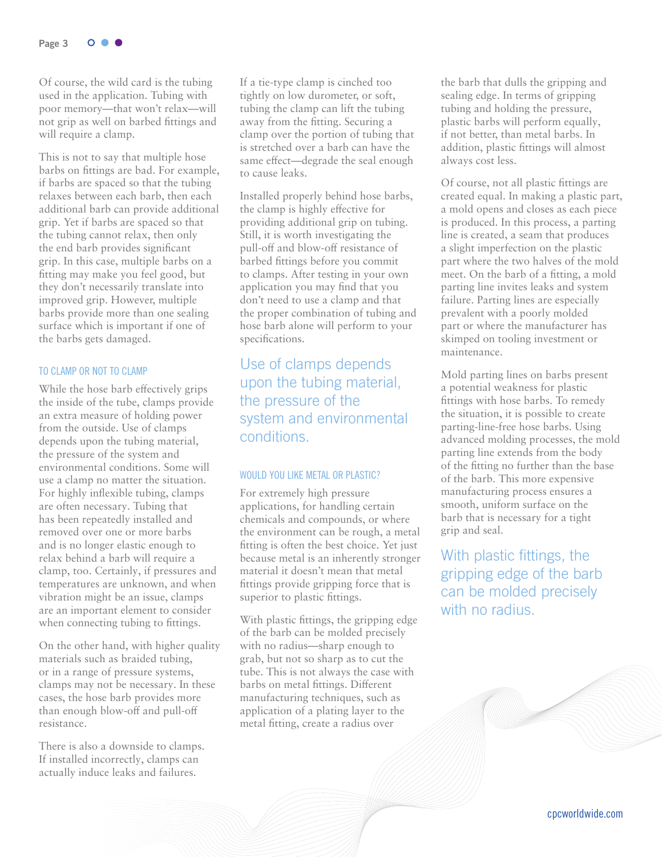Page 3  $O<sub>o</sub>$ 

Of course, the wild card is the tubing used in the application. Tubing with poor memory—that won't relax—will not grip as well on barbed fittings and will require a clamp.

This is not to say that multiple hose barbs on fittings are bad. For example, if barbs are spaced so that the tubing relaxes between each barb, then each additional barb can provide additional grip. Yet if barbs are spaced so that the tubing cannot relax, then only the end barb provides significant grip. In this case, multiple barbs on a fitting may make you feel good, but they don't necessarily translate into improved grip. However, multiple barbs provide more than one sealing surface which is important if one of the barbs gets damaged.

#### TO CLAMP OR NOT TO CLAMP

While the hose barb effectively grips the inside of the tube, clamps provide an extra measure of holding power from the outside. Use of clamps depends upon the tubing material, the pressure of the system and environmental conditions. Some will use a clamp no matter the situation. For highly inflexible tubing, clamps are often necessary. Tubing that has been repeatedly installed and removed over one or more barbs and is no longer elastic enough to relax behind a barb will require a clamp, too. Certainly, if pressures and temperatures are unknown, and when vibration might be an issue, clamps are an important element to consider when connecting tubing to fittings.

On the other hand, with higher quality materials such as braided tubing, or in a range of pressure systems, clamps may not be necessary. In these cases, the hose barb provides more than enough blow-off and pull-off resistance.

There is also a downside to clamps. If installed incorrectly, clamps can actually induce leaks and failures.

If a tie-type clamp is cinched too tightly on low durometer, or soft, tubing the clamp can lift the tubing away from the fitting. Securing a clamp over the portion of tubing that is stretched over a barb can have the same effect—degrade the seal enough to cause leaks.

Installed properly behind hose barbs, the clamp is highly effective for providing additional grip on tubing. Still, it is worth investigating the pull-off and blow-off resistance of barbed fittings before you commit to clamps. After testing in your own application you may find that you don't need to use a clamp and that the proper combination of tubing and hose barb alone will perform to your specifications.

Use of clamps depends upon the tubing material, the pressure of the system and environmental conditions.

#### WOULD YOU LIKE METAL OR PLASTIC?

For extremely high pressure applications, for handling certain chemicals and compounds, or where the environment can be rough, a metal fitting is often the best choice. Yet just because metal is an inherently stronger material it doesn't mean that metal fittings provide gripping force that is superior to plastic fittings.

With plastic fittings, the gripping edge of the barb can be molded precisely with no radius—sharp enough to grab, but not so sharp as to cut the tube. This is not always the case with barbs on metal fittings. Different manufacturing techniques, such as application of a plating layer to the metal fitting, create a radius over

the barb that dulls the gripping and sealing edge. In terms of gripping tubing and holding the pressure, plastic barbs will perform equally, if not better, than metal barbs. In addition, plastic fittings will almost always cost less.

Of course, not all plastic fittings are created equal. In making a plastic part, a mold opens and closes as each piece is produced. In this process, a parting line is created, a seam that produces a slight imperfection on the plastic part where the two halves of the mold meet. On the barb of a fitting, a mold parting line invites leaks and system failure. Parting lines are especially prevalent with a poorly molded part or where the manufacturer has skimped on tooling investment or maintenance.

Mold parting lines on barbs present a potential weakness for plastic fittings with hose barbs. To remedy the situation, it is possible to create parting-line-free hose barbs. Using advanced molding processes, the mold parting line extends from the body of the fitting no further than the base of the barb. This more expensive manufacturing process ensures a smooth, uniform surface on the barb that is necessary for a tight grip and seal.

With plastic fittings, the gripping edge of the barb can be molded precisely with no radius.

**MARINAL**